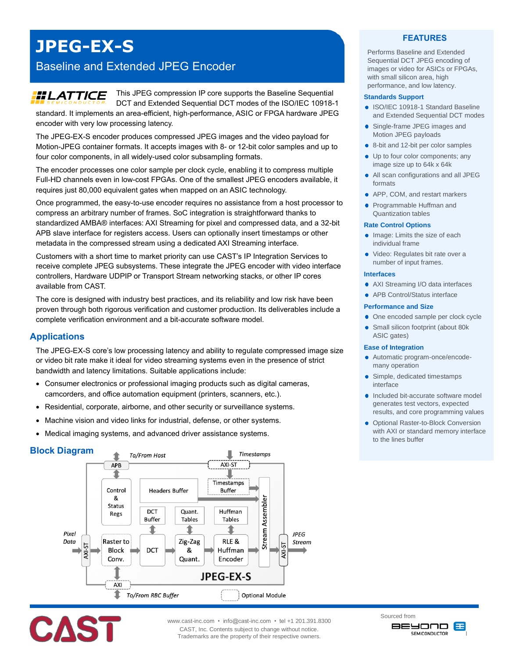# **JPEG-EX-S**

## Baseline and Extended JPEG Encoder

## **HLATTICE**

This JPEG compression IP core supports the Baseline Sequential

DCT and Extended Sequential DCT modes of the ISO/IEC 10918-1 standard. It implements an area-efficient, high-performance, ASIC or FPGA hardware JPEG encoder with very low processing latency.

The JPEG-EX-S encoder produces compressed JPEG images and the video payload for Motion-JPEG container formats. It accepts images with 8- or 12-bit color samples and up to four color components, in all widely-used color subsampling formats.

The encoder processes one color sample per clock cycle, enabling it to compress multiple Full-HD channels even in low-cost FPGAs. One of the smallest JPEG encoders available, it requires just 80,000 equivalent gates when mapped on an ASIC technology.

Once programmed, the easy-to-use encoder requires no assistance from a host processor to compress an arbitrary number of frames. SoC integration is straightforward thanks to standardized AMBA® interfaces: AXI Streaming for pixel and compressed data, and a 32-bit APB slave interface for registers access. Users can optionally insert timestamps or other metadata in the compressed stream using a dedicated AXI Streaming interface.

Customers with a short time to market priority can use CAST's IP Integration Services to receive complete JPEG subsystems. These integrate the JPEG encoder with video interface controllers, Hardware UDPIP or Transport Stream networking stacks, or other IP cores available from CAST.

The core is designed with industry best practices, and its reliability and low risk have been proven through both rigorous verification and customer production. Its deliverables include a complete verification environment and a bit-accurate software model.

## **Applications**

The JPEG-EX-S core's low processing latency and ability to regulate compressed image size or video bit rate make it ideal for video streaming systems even in the presence of strict bandwidth and latency limitations. Suitable applications include:

- Consumer electronics or professional imaging products such as digital cameras, camcorders, and office automation equipment (printers, scanners, etc.).
- Residential, corporate, airborne, and other security or surveillance systems.
- Machine vision and video links for industrial, defense, or other systems.
- Medical imaging systems, and advanced driver assistance systems.

## **Block Diagram**





www.cast-inc.com • info@cast-inc.com • tel +1 201.391.8300 CAST, Inc. Contents subject to change without notice. Trademarks are the property of their respective owners.

## **FEATURES**

Performs Baseline and Extended Sequential DCT JPEG encoding of images or video for ASICs or FPGAs, with small silicon area, high performance, and low latency.

#### **Standards Support**

- ISO/IEC 10918-1 Standard Baseline and Extended Sequential DCT modes
- Single-frame JPEG images and Motion JPEG payloads
- 8-bit and 12-bit per color samples
- Up to four color components; any image size up to 64k x 64k
- All scan configurations and all JPEG ٠ formats
- APP, COM, and restart markers
- Programmable Huffman and Quantization tables

#### **Rate Control Options**

- Image: Limits the size of each individual frame
- Video: Regulates bit rate over a number of input frames.

#### **Interfaces**

- AXI Streaming I/O data interfaces
- APB Control/Status interface

#### **Performance and Size**

- One encoded sample per clock cycle
- $\bullet$ Small silicon footprint (about 80k ASIC gates)

#### **Ease of Integration**

- Automatic program-once/encodemany operation
- Simple, dedicated timestamps interface
- Included bit-accurate software model generates test vectors, expected results, and core programming values
- **Optional Raster-to-Block Conversion** with AXI or standard memory interface to the lines buffer